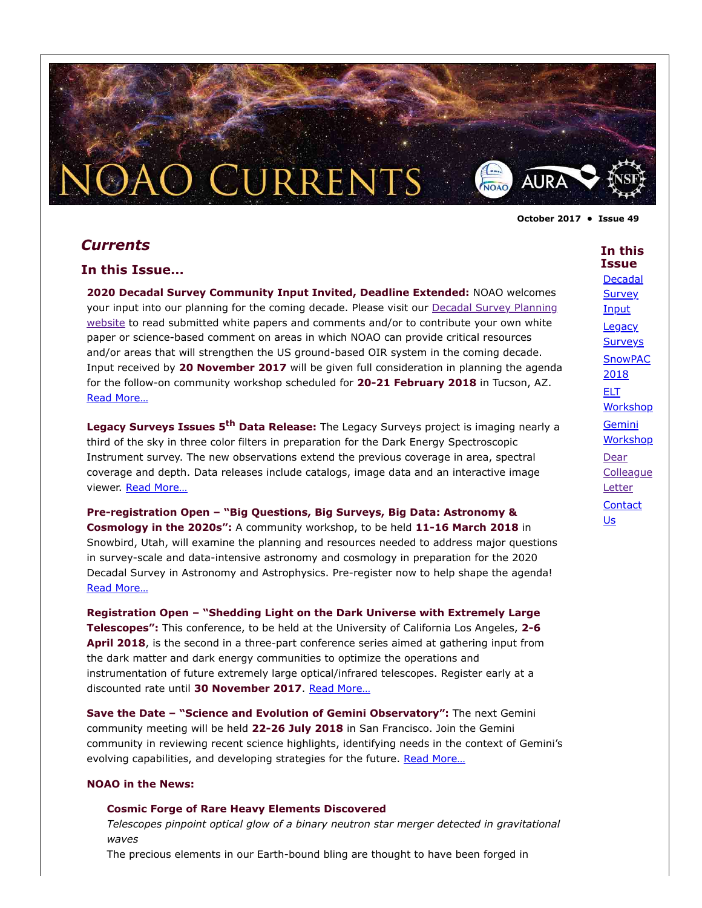# *Currents*

#### **In this Issue…**

**2020 Decadal Survey Community Input Invited, Deadline Extended:** NOAO welcomes [your input into our planning for the coming decade. Please visit our Decadal Survey Planning](https://www.noao.edu/2020Decadal/) website to read submitted white papers and comments and/or to contribute your own white paper or science-based comment on areas in which NOAO can provide critical resources and/or areas that will strengthen the US ground-based OIR system in the coming decade. Input received by **20 November 2017** will be given full consideration in planning the agenda for the follow-on community workshop scheduled for **20-21 February 2018** in Tucson, AZ. [Read More…](#page-1-0)

O CURRENTS

**Legacy Surveys Issues 5th Data Release:** The Legacy Surveys project is imaging nearly a third of the sky in three color filters in preparation for the Dark Energy Spectroscopic Instrument survey. The new observations extend the previous coverage in area, spectral coverage and depth. Data releases include catalogs, image data and an interactive image viewer. [Read More…](#page-2-0)

**Pre-registration Open – "Big Questions, Big Surveys, Big Data: Astronomy & Cosmology in the 2020s":** A community workshop, to be held **11-16 March 2018** in Snowbird, Utah, will examine the planning and resources needed to address major questions in survey-scale and data-intensive astronomy and cosmology in preparation for the 2020 Decadal Survey in Astronomy and Astrophysics. Pre-register now to help shape the agenda! [Read More…](#page-3-0)

**Registration Open – "Shedding Light on the Dark Universe with Extremely Large Telescopes":** This conference, to be held at the University of California Los Angeles, **2-6 April 2018**, is the second in a three-part conference series aimed at gathering input from the dark matter and dark energy communities to optimize the operations and instrumentation of future extremely large optical/infrared telescopes. Register early at a discounted rate until **30 November 2017**. [Read More…](#page-3-1)

**Save the Date – "Science and Evolution of Gemini Observatory":** The next Gemini community meeting will be held **22-26 July 2018** in San Francisco. Join the Gemini community in reviewing recent science highlights, identifying needs in the context of Gemini's evolving capabilities, and developing strategies for the future. Read More...

#### **NOAO in the News:**

#### **Cosmic Forge of Rare Heavy Elements Discovered**

*Telescopes pinpoint optical glow of a binary neutron star merger detected in gravitational waves*

The precious elements in our Earth-bound bling are thought to have been forged in

**October 2017 • Issue 49**

AURA

#### **In this Issue** [Decadal](#page-1-0)

**Survey Input Legacy [Surveys](#page-2-0) [SnowPAC](#page-3-0)** 2018 ELT [Workshop](#page-3-1) Gemini **[Workshop](#page-4-0)** Dear **[Colleague](#page-4-1) Letter [Contact](#page-6-0)** Us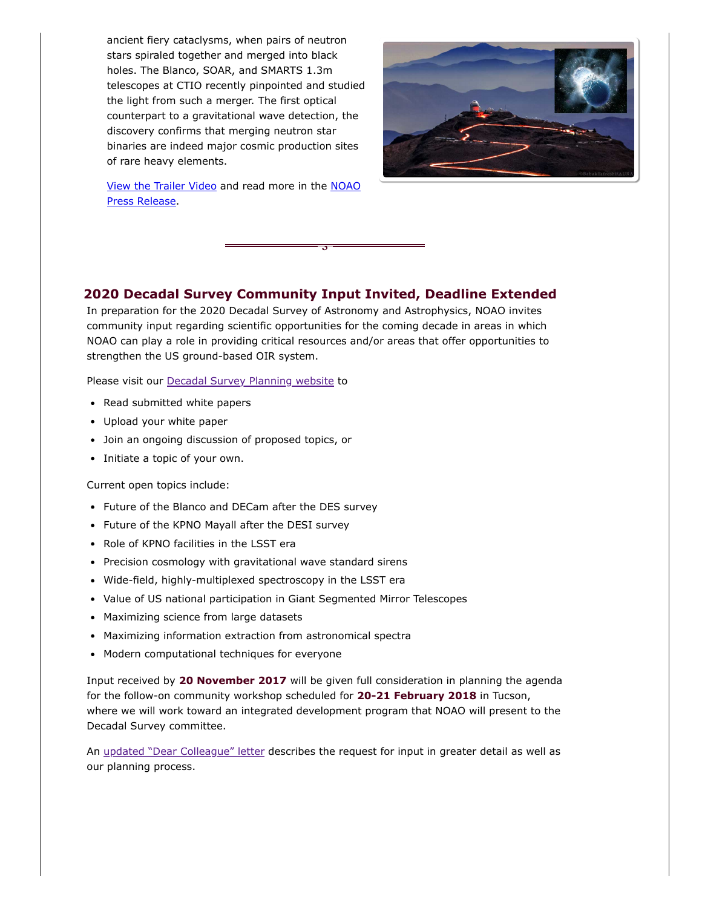ancient fiery cataclysms, when pairs of neutron stars spiraled together and merged into black holes. The Blanco, SOAR, and SMARTS 1.3m telescopes at CTIO recently pinpointed and studied the light from such a merger. The first optical counterpart to a gravitational wave detection, the discovery confirms that merging neutron star binaries are indeed major cosmic production sites of rare heavy elements.



[View the Trailer Vide](https://youtu.be/U1jzB0LgdKA)[o and read more in the NOAO](https://www.noao.edu/news/2017/pr1705.php) Press Release.

## **2020 Decadal Survey Community Input Invited, Deadline Extended**

<span id="page-1-0"></span>§

In preparation for the 2020 Decadal Survey of Astronomy and Astrophysics, NOAO invites community input regarding scientific opportunities for the coming decade in areas in which NOAO can play a role in providing critical resources and/or areas that offer opportunities to strengthen the US ground-based OIR system.

Please visit our **[Decadal Survey Planning website](https://www.noao.edu/2020Decadal/)** to

- Read submitted white papers
- Upload your white paper
- Join an ongoing discussion of proposed topics, or
- Initiate a topic of your own.

Current open topics include:

- Future of the Blanco and DECam after the DES survey
- Future of the KPNO Mayall after the DESI survey
- Role of KPNO facilities in the LSST era
- Precision cosmology with gravitational wave standard sirens
- Wide-field, highly-multiplexed spectroscopy in the LSST era
- Value of US national participation in Giant Segmented Mirror Telescopes
- Maximizing science from large datasets
- Maximizing information extraction from astronomical spectra
- Modern computational techniques for everyone

Input received by **20 November 2017** will be given full consideration in planning the agenda for the follow-on community workshop scheduled for **20-21 February 2018** in Tucson, where we will work toward an integrated development program that NOAO will present to the Decadal Survey committee.

An [updated "Dear Colleague" letter](#page-4-1) describes the request for input in greater detail as well as our planning process.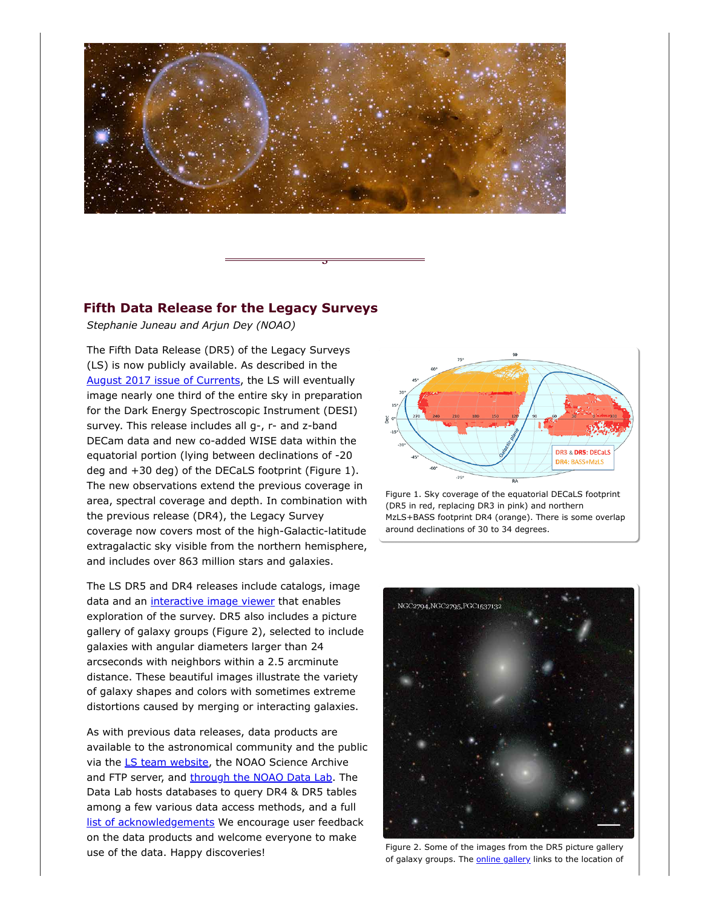

<span id="page-2-0"></span>§

### **Fifth Data Release for the Legacy Surveys**

*Stephanie Juneau and Arjun Dey (NOAO)*

The Fifth Data Release (DR5) of the Legacy Surveys (LS) is now publicly available. As described in the [August 2017 issue of Currents](https://www.noao.edu/currents/201708.html#legacy), the LS will eventually image nearly one third of the entire sky in preparation for the Dark Energy Spectroscopic Instrument (DESI) survey. This release includes all g-, r- and z-band DECam data and new co-added WISE data within the equatorial portion (lying between declinations of -20 deg and +30 deg) of the DECaLS footprint (Figure 1). The new observations extend the previous coverage in area, spectral coverage and depth. In combination with the previous release (DR4), the Legacy Survey coverage now covers most of the high-Galactic-latitude extragalactic sky visible from the northern hemisphere, and includes over 863 million stars and galaxies.

The LS DR5 and DR4 releases include catalogs, image data and an *interactive image viewer* that enables exploration of the survey. DR5 also includes a picture gallery of galaxy groups (Figure 2), selected to include galaxies with angular diameters larger than 24 arcseconds with neighbors within a 2.5 arcminute distance. These beautiful images illustrate the variety of galaxy shapes and colors with sometimes extreme distortions caused by merging or interacting galaxies.

As with previous data releases, data products are available to the astronomical community and the public via the *LS* team website, the NOAO Science Archive and FTP server, and [through the NOAO Data Lab.](http://datalab.noao.edu/decals/ls.php) The Data Lab hosts databases to query DR4 & DR5 tables among a few various data access methods, and a full [list of acknowledgements](http://datalab.noao.edu/decals/acknowledgments.php)</u> We encourage user feedback on the data products and welcome everyone to make use of the data. Happy discoveries!



Figure 1. Sky coverage of the equatorial DECaLS footprint (DR5 in red, replacing DR3 in pink) and northern MzLS+BASS footprint DR4 (orange). There is some overlap around declinations of 30 to 34 degrees.



Figure 2. Some of the images from the DR5 picture gallery of galaxy groups. The [online gallery](http://portal.nersc.gov/project/cosmo/data/legacysurvey/dr5/gallery/) links to the location of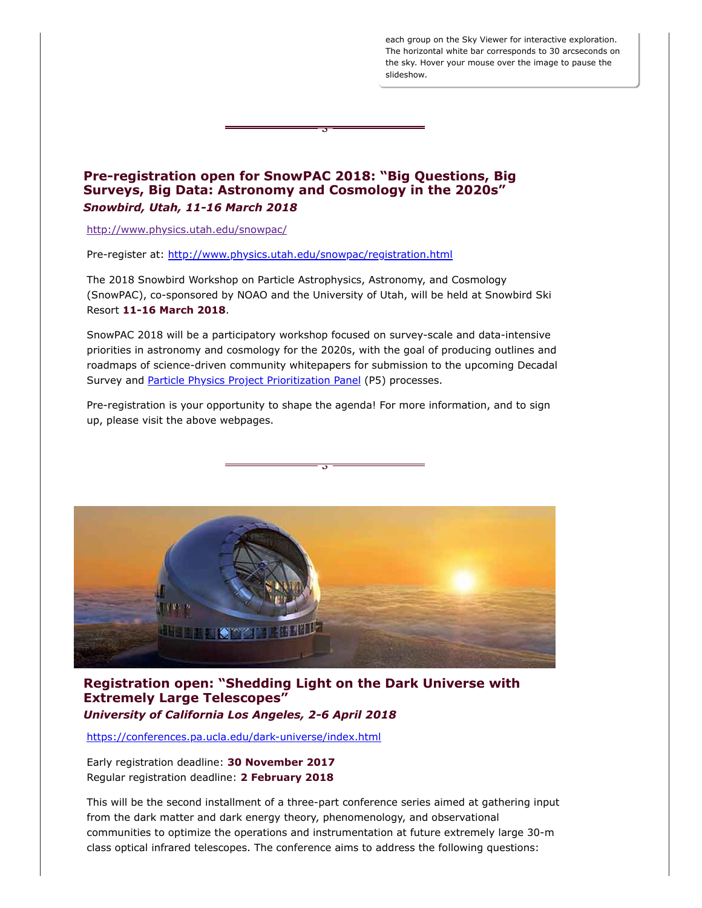each group on the Sky Viewer for interactive exploration. The horizontal white bar corresponds to 30 arcseconds on the sky. Hover your mouse over the image to pause the slideshow.

## **Pre-registration open for SnowPAC 2018: "Big Questions, Big Surveys, Big Data: Astronomy and Cosmology in the 2020s"** *Snowbird, Utah, 11-16 March 2018*

<span id="page-3-0"></span>§

<http://www.physics.utah.edu/snowpac/>

Pre-register at: <http://www.physics.utah.edu/snowpac/registration.html>

The 2018 Snowbird Workshop on Particle Astrophysics, Astronomy, and Cosmology (SnowPAC), co-sponsored by NOAO and the University of Utah, will be held at Snowbird Ski Resort **11-16 March 2018**.

SnowPAC 2018 will be a participatory workshop focused on survey-scale and data-intensive priorities in astronomy and cosmology for the 2020s, with the goal of producing outlines and roadmaps of science-driven community whitepapers for submission to the upcoming Decadal Survey and [Particle Physics Project Prioritization Panel](https://en.wikipedia.org/wiki/Particle_Physics_Project_Prioritization_Panel) (P5) processes.

Pre-registration is your opportunity to shape the agenda! For more information, and to sign up, please visit the above webpages.

<span id="page-3-1"></span>§



## **Registration open: "Shedding Light on the Dark Universe with Extremely Large Telescopes"** *University of California Los Angeles, 2-6 April 2018*

<https://conferences.pa.ucla.edu/dark-universe/index.html>

Early registration deadline: **30 November 2017** Regular registration deadline: **2 February 2018**

This will be the second installment of a three-part conference series aimed at gathering input from the dark matter and dark energy theory, phenomenology, and observational communities to optimize the operations and instrumentation at future extremely large 30-m class optical infrared telescopes. The conference aims to address the following questions: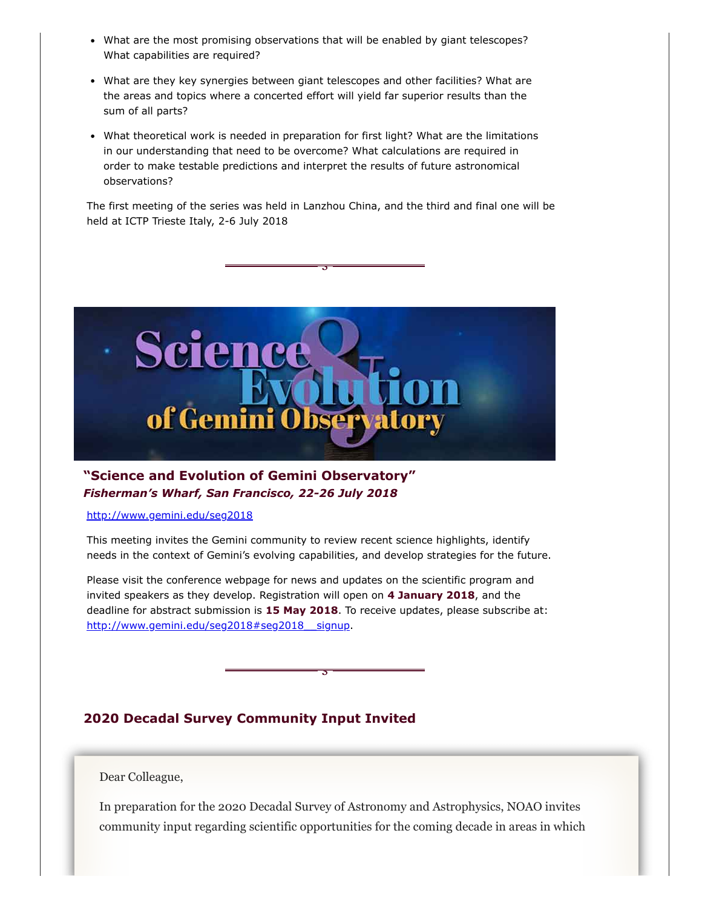- What are the most promising observations that will be enabled by giant telescopes? What capabilities are required?
- What are they key synergies between giant telescopes and other facilities? What are the areas and topics where a concerted effort will yield far superior results than the sum of all parts?
- What theoretical work is needed in preparation for first light? What are the limitations in our understanding that need to be overcome? What calculations are required in order to make testable predictions and interpret the results of future astronomical observations?

The first meeting of the series was held in Lanzhou China, and the third and final one will be held at ICTP Trieste Italy, 2-6 July 2018

<span id="page-4-0"></span>§



# **"Science and Evolution of Gemini Observatory"** *Fisherman's Wharf, San Francisco, 22-26 July 2018*

#### <http://www.gemini.edu/seg2018>

This meeting invites the Gemini community to review recent science highlights, identify needs in the context of Gemini's evolving capabilities, and develop strategies for the future.

Please visit the conference webpage for news and updates on the scientific program and invited speakers as they develop. Registration will open on **4 January 2018**, and the deadline for abstract submission is **15 May 2018**. To receive updates, please subscribe at: http://www.gemini.edu/seg2018#seg2018 signup.

<span id="page-4-1"></span>§

# **2020 Decadal Survey Community Input Invited**

Dear Colleague,

In preparation for the 2020 Decadal Survey of Astronomy and Astrophysics, NOAO invites community input regarding scientific opportunities for the coming decade in areas in which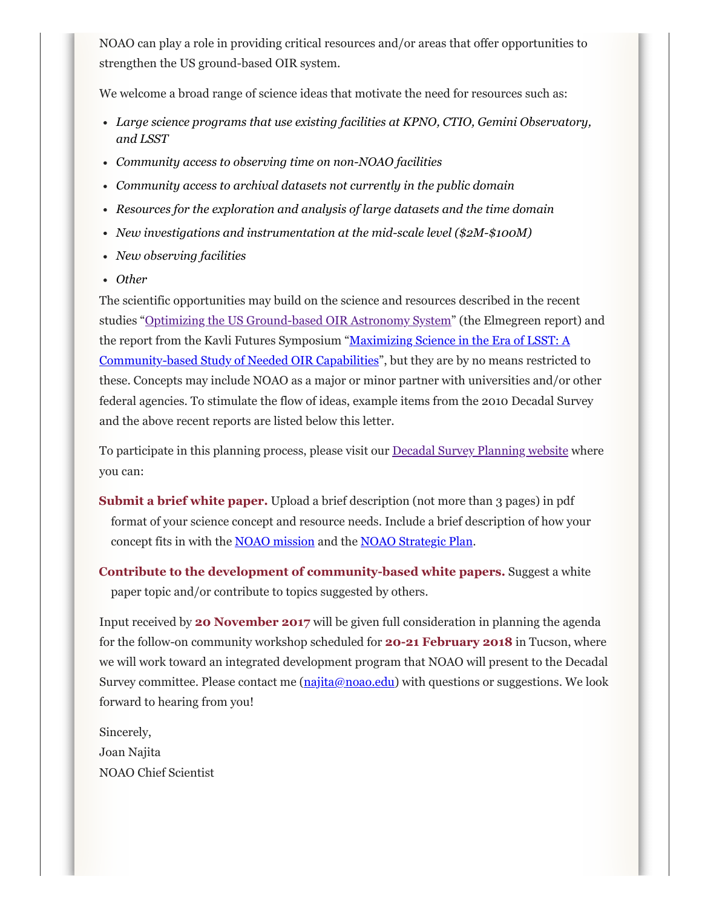NOAO can play a role in providing critical resources and/or areas that offer opportunities to strengthen the US ground-based OIR system.

We welcome a broad range of science ideas that motivate the need for resources such as:

- *Large science programs that use existing facilities at KPNO, CTIO, Gemini Observatory, and LSST*
- *Community access to observing time on non-NOAO facilities*
- *Community access to archival datasets not currently in the public domain*
- *Resources for the exploration and analysis of large datasets and the time domain*
- *New investigations and instrumentation at the mid-scale level (\$2M-\$100M)*
- *New observing facilities*
- *Other*

The scientific opportunities may build on the science and resources described in the recent studies "Optimizing the US [Ground-based](http://sites.nationalacademies.org/BPA/BPA_087934) OIR Astronomy System" (the Elmegreen report) and the report from [the Kavli Futures Symposium](https://www.noao.edu/meetings/lsst-oir-study/) "Maximizing Science in the Era of LSST: A Community-based Study of Needed OIR Capabilities", but they are by no means restricted to these. Concepts may include NOAO as a major or minor partner with universities and/or other federal agencies. To stimulate the flow of ideas, example items from the 2010 Decadal Survey and the above recent reports are listed below this letter.

To participate in this planning process, please visit our Decadal Survey [Planning](https://www.noao.edu/2020Decadal/) website where you can:

**Submit a brief white paper.** Upload a brief description (not more than 3 pages) in pdf format of your science concept and resource needs. Include a brief description of how your concept fits in with the NOAO [mission](https://www.noao.edu/about-noao-mission.php) and the NOAO [Strategic Plan](https://www.noao.edu/dir/strategic_plan/NOAO_Strategic_Plan2016.pdf).

**Contribute to the development of community-based white papers.** Suggest a white paper topic and/or contribute to topics suggested by others.

Input received by **20 November 2017** will be given full consideration in planning the agenda for the follow-on community workshop scheduled for **20-21 February 2018** in Tucson, where we will work toward an integrated development program that NOAO will present to the Decadal Survey committee. Please contact me [\(najita@noao.edu](mailto:najita@noao.edu)) with questions or suggestions. We look forward to hearing from you!

Sincerely, Joan Najita NOAO Chief Scientist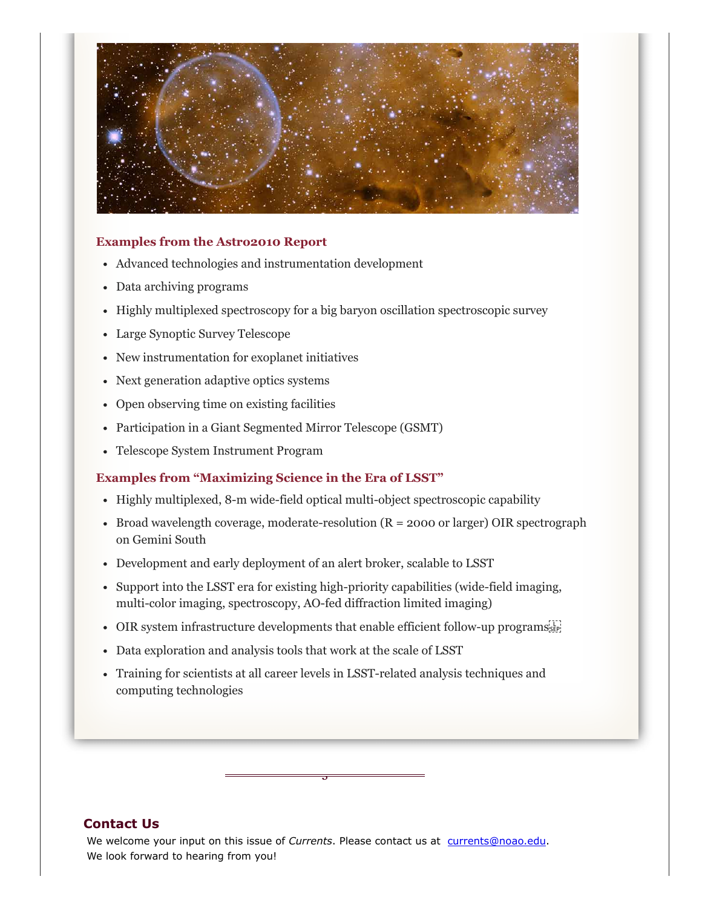

### **Examples from the Astro2010 Report**

- Advanced technologies and instrumentation development
- Data archiving programs
- Highly multiplexed spectroscopy for a big baryon oscillation spectroscopic survey
- Large Synoptic Survey Telescope
- New instrumentation for exoplanet initiatives
- Next generation adaptive optics systems
- Open observing time on existing facilities
- Participation in a Giant Segmented Mirror Telescope (GSMT)
- Telescope System Instrument Program

#### **Examples from "Maximizing Science in the Era of LSST"**

- Highly multiplexed, 8-m wide-field optical multi-object spectroscopic capability
- Broad wavelength coverage, moderate-resolution  $(R = 2000 \text{ or larger})$  OIR spectrograph on Gemini South
- Development and early deployment of an alert broker, scalable to LSST
- Support into the LSST era for existing high-priority capabilities (wide-field imaging, multi-color imaging, spectroscopy, AO-fed diffraction limited imaging)
- OIR system infrastructure developments that enable efficient follow-up programs
- Data exploration and analysis tools that work at the scale of LSST
- Training for scientists at all career levels in LSST-related analysis techniques and computing technologies

<span id="page-6-0"></span>§

### **Contact Us**

We welcome your input on this issue of *Currents*. Please contact us at [currents@noao.edu.](mailto:currents@noao.edu) We look forward to hearing from you!